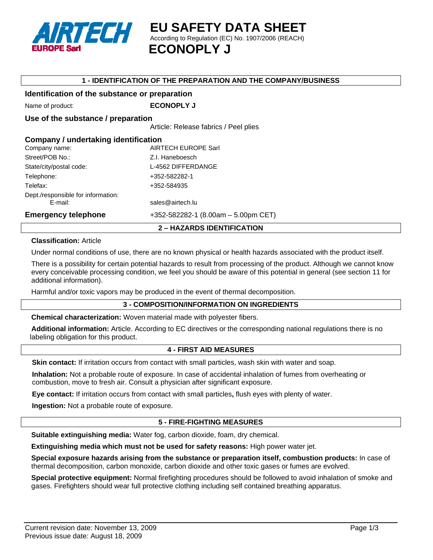

**EU SAFETY DATA SHEET**  According to Regulation (EC) No. 1907/2006 (REACH)  **ECONOPLY J**

#### **1 - IDENTIFICATION OF THE PREPARATION AND THE COMPANY/BUSINESS**

### **Identification of the substance or preparation**

Name of product: **ECONOPLY J** 

### **Use of the substance / preparation**

Article: Release fabrics / Peel plies

| Company / undertaking identification<br><b>AIRTECH EUROPE Sarl</b><br>Company name: |                                       |  |
|-------------------------------------------------------------------------------------|---------------------------------------|--|
| Street/POB No.:                                                                     | Z.I. Haneboesch                       |  |
| State/city/postal code:                                                             | L-4562 DIFFERDANGE                    |  |
| Telephone:                                                                          | +352-582282-1                         |  |
| Telefax:                                                                            | +352-584935                           |  |
| Dept./responsible for information:<br>E-mail:                                       | sales@airtech.lu                      |  |
| <b>Emergency telephone</b>                                                          | $+352-582282-1$ (8.00am - 5.00pm CET) |  |

# **Classification:** Article

Under normal conditions of use, there are no known physical or health hazards associated with the product itself.

**2 – HAZARDS IDENTIFICATION** 

There is a possibility for certain potential hazards to result from processing of the product. Although we cannot know every conceivable processing condition, we feel you should be aware of this potential in general (see section 11 for additional information).

Harmful and/or toxic vapors may be produced in the event of thermal decomposition.

#### **3 - COMPOSITION/INFORMATION ON INGREDIENTS**

**Chemical characterization:** Woven material made with polyester fibers.

**Additional information:** Article. According to EC directives or the corresponding national regulations there is no labeling obligation for this product.

# **4 - FIRST AID MEASURES**

**Skin contact:** If irritation occurs from contact with small particles, wash skin with water and soap.

**Inhalation:** Not a probable route of exposure. In case of accidental inhalation of fumes from overheating or combustion, move to fresh air. Consult a physician after significant exposure.

**Eye contact:** If irritation occurs from contact with small particles**,** flush eyes with plenty of water.

**Ingestion:** Not a probable route of exposure.

#### **5 - FIRE-FIGHTING MEASURES**

**Suitable extinguishing media:** Water fog, carbon dioxide, foam, dry chemical.

**Extinguishing media which must not be used for safety reasons:** High power water jet.

**Special exposure hazards arising from the substance or preparation itself, combustion products:** In case of thermal decomposition, carbon monoxide, carbon dioxide and other toxic gases or fumes are evolved.

**Special protective equipment:** Normal firefighting procedures should be followed to avoid inhalation of smoke and gases. Firefighters should wear full protective clothing including self contained breathing apparatus.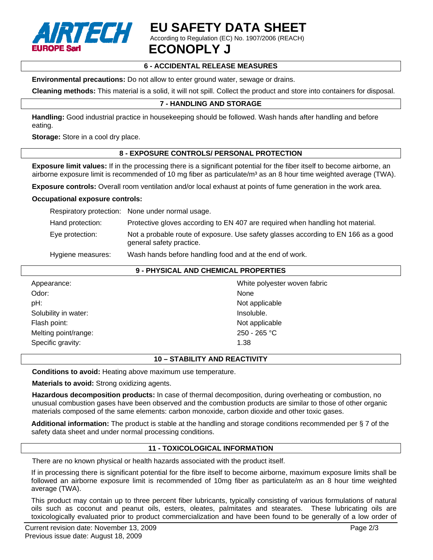

# **EU SAFETY DATA SHEET**

According to Regulation (EC) No. 1907/2006 (REACH)

 **ECONOPLY J**

# **6 - ACCIDENTAL RELEASE MEASURES**

**Environmental precautions:** Do not allow to enter ground water, sewage or drains.

**Cleaning methods:** This material is a solid, it will not spill. Collect the product and store into containers for disposal.

# **7 - HANDLING AND STORAGE**

**Handling:** Good industrial practice in housekeeping should be followed. Wash hands after handling and before eating.

**Storage:** Store in a cool dry place.

# **8 - EXPOSURE CONTROLS/ PERSONAL PROTECTION**

**Exposure limit values:** If in the processing there is a significant potential for the fiber itself to become airborne, an airborne exposure limit is recommended of 10 mg fiber as particulate/ $m<sup>3</sup>$  as an 8 hour time weighted average (TWA).

**Exposure controls:** Overall room ventilation and/or local exhaust at points of fume generation in the work area.

#### **Occupational exposure controls:**

|                   | Respiratory protection: None under normal usage.                                                               |
|-------------------|----------------------------------------------------------------------------------------------------------------|
| Hand protection:  | Protective gloves according to EN 407 are required when handling hot material.                                 |
| Eye protection:   | Not a probable route of exposure. Use safety glasses according to EN 166 as a good<br>general safety practice. |
| Hygiene measures: | Wash hands before handling food and at the end of work.                                                        |

# **9 - PHYSICAL AND CHEMICAL PROPERTIES**

| Appearance:          | White polyester woven fabric |
|----------------------|------------------------------|
| Odor:                | None                         |
| pH:                  | Not applicable               |
| Solubility in water: | Insoluble.                   |
| Flash point:         | Not applicable               |
| Melting point/range: | 250 - 265 °C                 |
| Specific gravity:    | 1.38                         |

### **10 – STABILITY AND REACTIVITY**

**Conditions to avoid:** Heating above maximum use temperature.

**Materials to avoid:** Strong oxidizing agents.

**Hazardous decomposition products:** In case of thermal decomposition, during overheating or combustion, no unusual combustion gases have been observed and the combustion products are similar to those of other organic materials composed of the same elements: carbon monoxide, carbon dioxide and other toxic gases.

**Additional information:** The product is stable at the handling and storage conditions recommended per § 7 of the safety data sheet and under normal processing conditions.

#### **11 - TOXICOLOGICAL INFORMATION**

There are no known physical or health hazards associated with the product itself.

If in processing there is significant potential for the fibre itself to become airborne, maximum exposure limits shall be followed an airborne exposure limit is recommended of 10mg fiber as particulate/m as an 8 hour time weighted average (TWA).

This product may contain up to three percent fiber lubricants, typically consisting of various formulations of natural oils such as coconut and peanut oils, esters, oleates, palmitates and stearates. These lubricating oils are toxicologically evaluated prior to product commercialization and have been found to be generally of a low order of